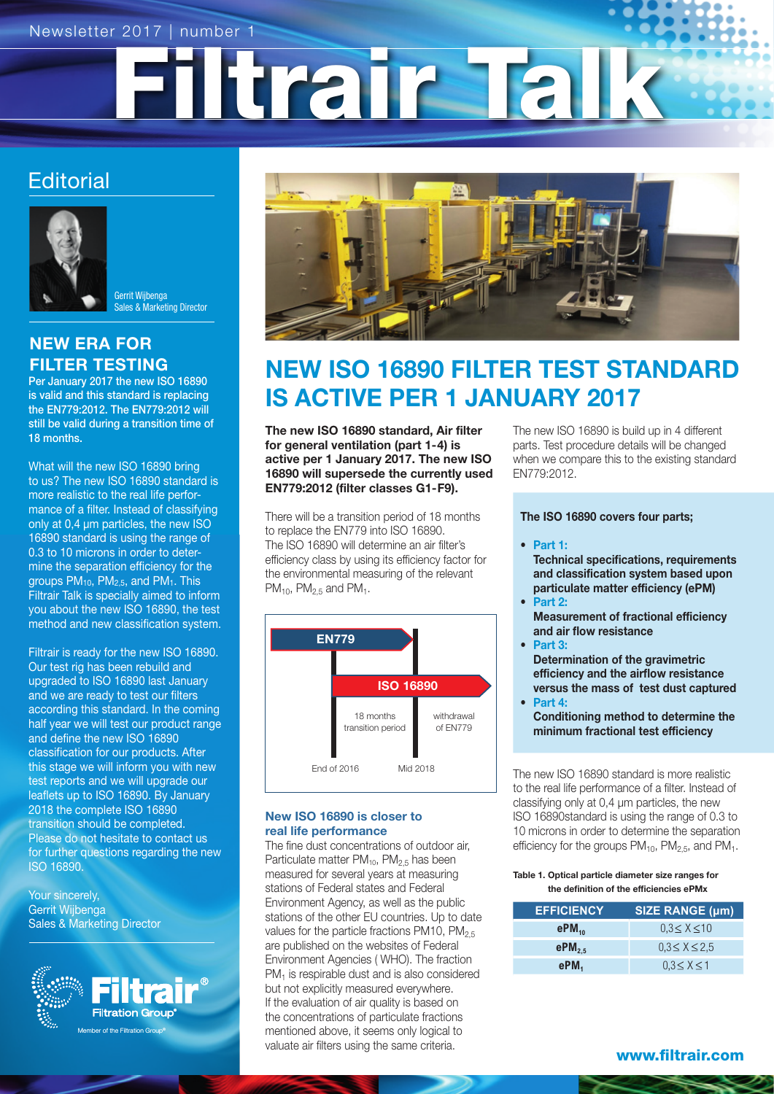Filtrair Tal

## **Editorial**



Gerrit Wijbenga Sales & Marketing Director

### NEW ERA FOR FILTER TESTING

Per January 2017 the new ISO 16890 is valid and this standard is replacing the EN779:2012. The EN779:2012 will still be valid during a transition time of 18 months.

What will the new ISO 16890 bring to us? The new ISO 16890 standard is more realistic to the real life performance of a filter. Instead of classifying only at 0,4 µm particles, the new ISO 16890 standard is using the range of 0.3 to 10 microns in order to determine the separation efficiency for the groups PM10, PM2,5, and PM1. This Filtrair Talk is specially aimed to inform you about the new ISO 16890, the test method and new classification system.

Filtrair is ready for the new ISO 16890. Our test rig has been rebuild and upgraded to ISO 16890 last January and we are ready to test our filters according this standard. In the coming half year we will test our product range and define the new ISO 16890 classification for our products. After this stage we will inform you with new test reports and we will upgrade our leaflets up to ISO 16890. By January 2018 the complete ISO 16890 transition should be completed. Please do not hesitate to contact us for further questions regarding the new ISO 16890.

Your sincerely, Gerrit Wijbenga Sales & Marketing Director





# NEW ISO 16890 FILTER TEST STANDARD IS ACTIVE PER 1 JANUARY 2017

The new ISO 16890 standard, Air filter for general ventilation (part 1-4) is active per 1 January 2017. The new ISO 16890 will supersede the currently used EN779:2012 (filter classes G1-F9).

There will be a transition period of 18 months to replace the EN779 into ISO 16890. The ISO 16890 will determine an air filter's efficiency class by using its efficiency factor for the environmental measuring of the relevant  $PM_{10}$ ,  $PM_{2.5}$  and  $PM_{1}$ .



#### New ISO 16890 is closer to real life performance

The fine dust concentrations of outdoor air, Particulate matter  $PM<sub>10</sub>$ ,  $PM<sub>2.5</sub>$  has been measured for several years at measuring stations of Federal states and Federal Environment Agency, as well as the public stations of the other EU countries. Up to date values for the particle fractions PM10, PM<sub>2.5</sub> are published on the websites of Federal Environment Agencies ( WHO). The fraction PM<sub>1</sub> is respirable dust and is also considered but not explicitly measured everywhere. If the evaluation of air quality is based on the concentrations of particulate fractions mentioned above, it seems only logical to valuate air filters using the same criteria.

The new ISO 16890 is build up in 4 different parts. Test procedure details will be changed when we compare this to the existing standard EN779:2012.

The ISO 16890 covers four parts;

- Part 1:
	- Technical specifications, requirements and classification system based upon particulate matter efficiency (ePM)
- Part 2: Measurement of fractional efficiency and air flow resistance
- Part 3: Determination of the gravimetric efficiency and the airflow resistance versus the mass of test dust captured
- Part 4: Conditioning method to determine the minimum fractional test efficiency

The new ISO 16890 standard is more realistic to the real life performance of a filter. Instead of classifying only at 0,4 µm particles, the new ISO 16890standard is using the range of 0.3 to 10 microns in order to determine the separation efficiency for the groups  $PM_{10}$ ,  $PM_{2.5}$ , and  $PM_{1}$ .

#### Table 1. Optical particle diameter size ranges for the definition of the efficiencies ePMx

| <b>EFFICIENCY</b> | <b>SIZE RANGE (µm)</b> |  |  |
|-------------------|------------------------|--|--|
| $ePM_{10}$        | $0.3 \le X \le 10$     |  |  |
| $ePM_{2.5}$       | $0.3 \le X \le 2.5$    |  |  |
| ePM <sub>1</sub>  | $0.3 \leq X \leq 1$    |  |  |

www.filtrair.com